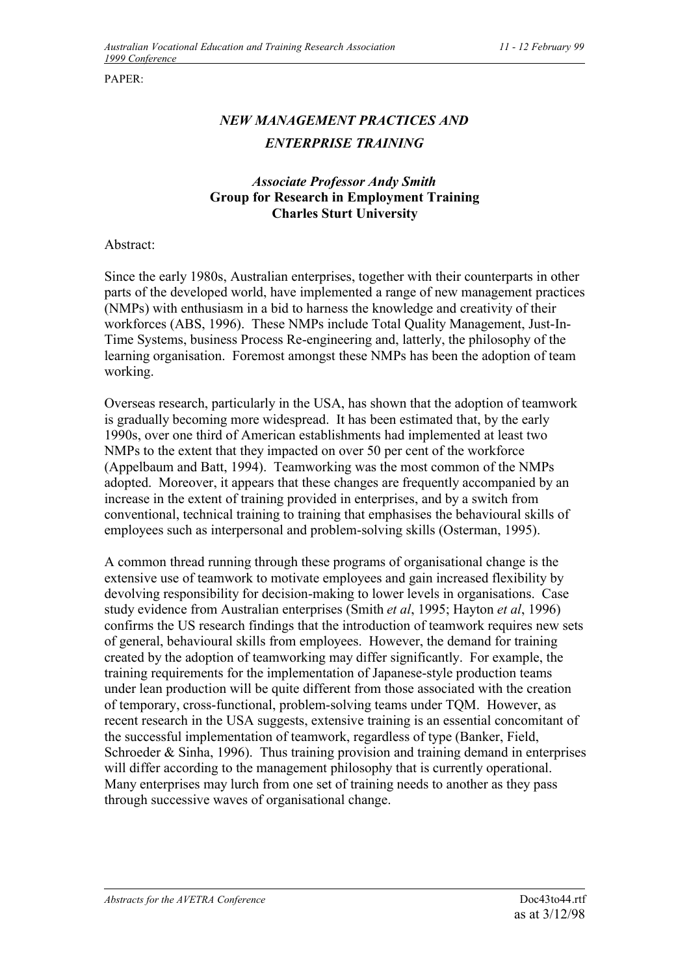PAPER:

## *NEW MANAGEMENT PRACTICES AND ENTERPRISE TRAINING*

## *Associate Professor Andy Smith* **Group for Research in Employment Training Charles Sturt University**

Abstract:

Since the early 1980s, Australian enterprises, together with their counterparts in other parts of the developed world, have implemented a range of new management practices (NMPs) with enthusiasm in a bid to harness the knowledge and creativity of their workforces (ABS, 1996). These NMPs include Total Quality Management, Just-In-Time Systems, business Process Re-engineering and, latterly, the philosophy of the learning organisation. Foremost amongst these NMPs has been the adoption of team working.

Overseas research, particularly in the USA, has shown that the adoption of teamwork is gradually becoming more widespread. It has been estimated that, by the early 1990s, over one third of American establishments had implemented at least two NMPs to the extent that they impacted on over 50 per cent of the workforce (Appelbaum and Batt, 1994). Teamworking was the most common of the NMPs adopted. Moreover, it appears that these changes are frequently accompanied by an increase in the extent of training provided in enterprises, and by a switch from conventional, technical training to training that emphasises the behavioural skills of employees such as interpersonal and problem-solving skills (Osterman, 1995).

A common thread running through these programs of organisational change is the extensive use of teamwork to motivate employees and gain increased flexibility by devolving responsibility for decision-making to lower levels in organisations. Case study evidence from Australian enterprises (Smith *et al*, 1995; Hayton *et al*, 1996) confirms the US research findings that the introduction of teamwork requires new sets of general, behavioural skills from employees. However, the demand for training created by the adoption of teamworking may differ significantly. For example, the training requirements for the implementation of Japanese-style production teams under lean production will be quite different from those associated with the creation of temporary, cross-functional, problem-solving teams under TQM. However, as recent research in the USA suggests, extensive training is an essential concomitant of the successful implementation of teamwork, regardless of type (Banker, Field, Schroeder & Sinha, 1996). Thus training provision and training demand in enterprises will differ according to the management philosophy that is currently operational. Many enterprises may lurch from one set of training needs to another as they pass through successive waves of organisational change.